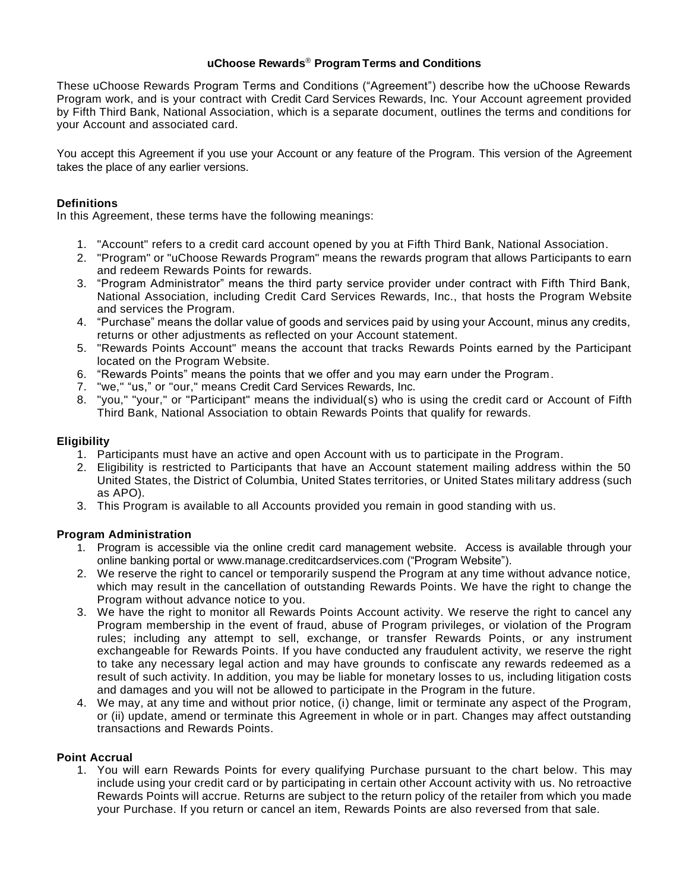### **uChoose Rewards**® **Program Terms and Conditions**

These uChoose Rewards Program Terms and Conditions ("Agreement") describe how the uChoose Rewards Program work, and is your contract with Credit Card Services Rewards, Inc. Your Account agreement provided by Fifth Third Bank, National Association, which is a separate document, outlines the terms and conditions for your Account and associated card.

You accept this Agreement if you use your Account or any feature of the Program. This version of the Agreement takes the place of any earlier versions.

# **Definitions**

In this Agreement, these terms have the following meanings:

- 1. "Account" refers to a credit card account opened by you at Fifth Third Bank, National Association.
- 2. "Program" or "uChoose Rewards Program" means the rewards program that allows Participants to earn and redeem Rewards Points for rewards.
- 3. "Program Administrator" means the third party service provider under contract with Fifth Third Bank, National Association, including Credit Card Services Rewards, Inc., that hosts the Program Website and services the Program.
- 4. "Purchase" means the dollar value of goods and services paid by using your Account, minus any credits, returns or other adjustments as reflected on your Account statement.
- 5. "Rewards Points Account" means the account that tracks Rewards Points earned by the Participant located on the Program Website.
- 6. "Rewards Points" means the points that we offer and you may earn under the Program.
- 7. "we," "us," or "our," means Credit Card Services Rewards, Inc.
- 8. "you," "your," or "Participant" means the individual(s) who is using the credit card or Account of Fifth Third Bank, National Association to obtain Rewards Points that qualify for rewards.

## **Eligibility**

- 1. Participants must have an active and open Account with us to participate in the Program.
- 2. Eligibility is restricted to Participants that have an Account statement mailing address within the 50 United States, the District of Columbia, United States territories, or United States military address (such as APO).
- 3. This Program is available to all Accounts provided you remain in good standing with us.

# **Program Administration**

- 1. Program is accessible via the online credit card management website. Access is available through your online banking portal or www.manage.creditcardservices.com ("Program Website").
- 2. We reserve the right to cancel or temporarily suspend the Program at any time without advance notice, which may result in the cancellation of outstanding Rewards Points. We have the right to change the Program without advance notice to you.
- 3. We have the right to monitor all Rewards Points Account activity. We reserve the right to cancel any Program membership in the event of fraud, abuse of Program privileges, or violation of the Program rules; including any attempt to sell, exchange, or transfer Rewards Points, or any instrument exchangeable for Rewards Points. If you have conducted any fraudulent activity, we reserve the right to take any necessary legal action and may have grounds to confiscate any rewards redeemed as a result of such activity. In addition, you may be liable for monetary losses to us, including litigation costs and damages and you will not be allowed to participate in the Program in the future.
- 4. We may, at any time and without prior notice, (i) change, limit or terminate any aspect of the Program, or (ii) update, amend or terminate this Agreement in whole or in part. Changes may affect outstanding transactions and Rewards Points.

#### **Point Accrual**

1. You will earn Rewards Points for every qualifying Purchase pursuant to the chart below. This may include using your credit card or by participating in certain other Account activity with us. No retroactive Rewards Points will accrue. Returns are subject to the return policy of the retailer from which you made your Purchase. If you return or cancel an item, Rewards Points are also reversed from that sale.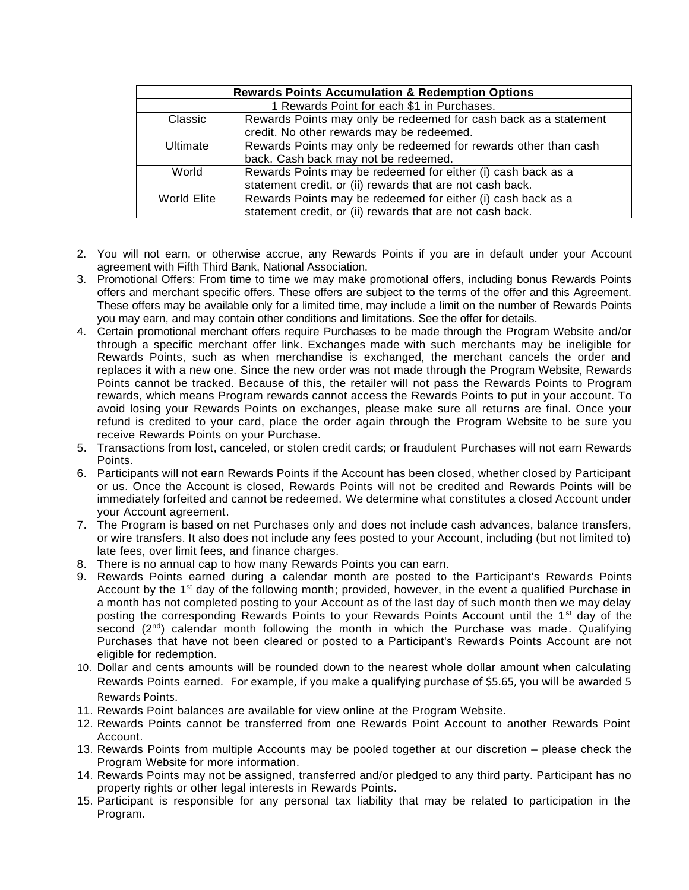| <b>Rewards Points Accumulation &amp; Redemption Options</b> |                                                                  |
|-------------------------------------------------------------|------------------------------------------------------------------|
| 1 Rewards Point for each \$1 in Purchases.                  |                                                                  |
| Classic                                                     | Rewards Points may only be redeemed for cash back as a statement |
|                                                             | credit. No other rewards may be redeemed.                        |
| <b>Ultimate</b>                                             | Rewards Points may only be redeemed for rewards other than cash  |
|                                                             | back. Cash back may not be redeemed.                             |
| World                                                       | Rewards Points may be redeemed for either (i) cash back as a     |
|                                                             | statement credit, or (ii) rewards that are not cash back.        |
| World Elite                                                 | Rewards Points may be redeemed for either (i) cash back as a     |
|                                                             | statement credit, or (ii) rewards that are not cash back.        |

- 2. You will not earn, or otherwise accrue, any Rewards Points if you are in default under your Account agreement with Fifth Third Bank, National Association.
- 3. Promotional Offers: From time to time we may make promotional offers, including bonus Rewards Points offers and merchant specific offers. These offers are subject to the terms of the offer and this Agreement. These offers may be available only for a limited time, may include a limit on the number of Rewards Points you may earn, and may contain other conditions and limitations. See the offer for details.
- 4. Certain promotional merchant offers require Purchases to be made through the Program Website and/or through a specific merchant offer link. Exchanges made with such merchants may be ineligible for Rewards Points, such as when merchandise is exchanged, the merchant cancels the order and replaces it with a new one. Since the new order was not made through the Program Website, Rewards Points cannot be tracked. Because of this, the retailer will not pass the Rewards Points to Program rewards, which means Program rewards cannot access the Rewards Points to put in your account. To avoid losing your Rewards Points on exchanges, please make sure all returns are final. Once your refund is credited to your card, place the order again through the Program Website to be sure you receive Rewards Points on your Purchase.
- 5. Transactions from lost, canceled, or stolen credit cards; or fraudulent Purchases will not earn Rewards Points.
- 6. Participants will not earn Rewards Points if the Account has been closed, whether closed by Participant or us. Once the Account is closed, Rewards Points will not be credited and Rewards Points will be immediately forfeited and cannot be redeemed. We determine what constitutes a closed Account under your Account agreement.
- 7. The Program is based on net Purchases only and does not include cash advances, balance transfers, or wire transfers. It also does not include any fees posted to your Account, including (but not limited to) late fees, over limit fees, and finance charges.
- 8. There is no annual cap to how many Rewards Points you can earn.
- 9. Rewards Points earned during a calendar month are posted to the Participant's Rewards Points Account by the 1<sup>st</sup> day of the following month; provided, however, in the event a qualified Purchase in a month has not completed posting to your Account as of the last day of such month then we may delay posting the corresponding Rewards Points to your Rewards Points Account until the 1<sup>st</sup> day of the second  $(2<sup>nd</sup>)$  calendar month following the month in which the Purchase was made. Qualifying Purchases that have not been cleared or posted to a Participant's Rewards Points Account are not eligible for redemption.
- 10. Dollar and cents amounts will be rounded down to the nearest whole dollar amount when calculating Rewards Points earned. For example, if you make a qualifying purchase of \$5.65, you will be awarded 5 Rewards Points.
- 11. Rewards Point balances are available for view online at the Program Website.
- 12. Rewards Points cannot be transferred from one Rewards Point Account to another Rewards Point Account.
- 13. Rewards Points from multiple Accounts may be pooled together at our discretion please check the Program Website for more information.
- 14. Rewards Points may not be assigned, transferred and/or pledged to any third party. Participant has no property rights or other legal interests in Rewards Points.
- 15. Participant is responsible for any personal tax liability that may be related to participation in the Program.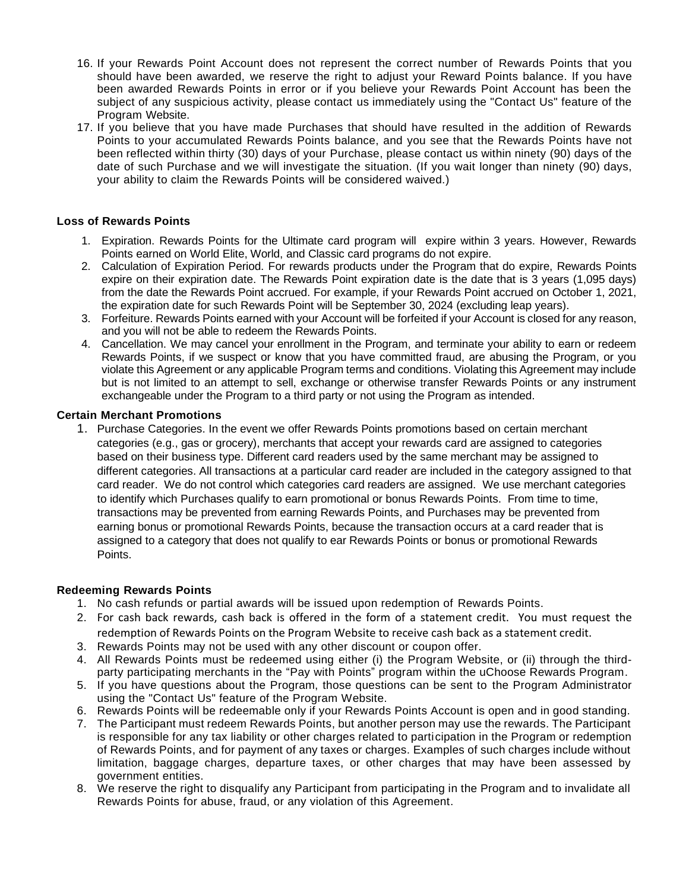- 16. If your Rewards Point Account does not represent the correct number of Rewards Points that you should have been awarded, we reserve the right to adjust your Reward Points balance. If you have been awarded Rewards Points in error or if you believe your Rewards Point Account has been the subject of any suspicious activity, please contact us immediately using the "Contact Us" feature of the Program Website.
- 17. If you believe that you have made Purchases that should have resulted in the addition of Rewards Points to your accumulated Rewards Points balance, and you see that the Rewards Points have not been reflected within thirty (30) days of your Purchase, please contact us within ninety (90) days of the date of such Purchase and we will investigate the situation. (If you wait longer than ninety (90) days, your ability to claim the Rewards Points will be considered waived.)

## **Loss of Rewards Points**

- 1. Expiration. Rewards Points for the Ultimate card program will expire within 3 years. However, Rewards Points earned on World Elite, World, and Classic card programs do not expire.
- 2. Calculation of Expiration Period. For rewards products under the Program that do expire, Rewards Points expire on their expiration date. The Rewards Point expiration date is the date that is 3 years (1,095 days) from the date the Rewards Point accrued. For example, if your Rewards Point accrued on October 1, 2021, the expiration date for such Rewards Point will be September 30, 2024 (excluding leap years).
- 3. Forfeiture. Rewards Points earned with your Account will be forfeited if your Account is closed for any reason, and you will not be able to redeem the Rewards Points.
- 4. Cancellation. We may cancel your enrollment in the Program, and terminate your ability to earn or redeem Rewards Points, if we suspect or know that you have committed fraud, are abusing the Program, or you violate this Agreement or any applicable Program terms and conditions. Violating this Agreement may include but is not limited to an attempt to sell, exchange or otherwise transfer Rewards Points or any instrument exchangeable under the Program to a third party or not using the Program as intended.

#### **Certain Merchant Promotions**

1. Purchase Categories. In the event we offer Rewards Points promotions based on certain merchant categories (e.g., gas or grocery), merchants that accept your rewards card are assigned to categories based on their business type. Different card readers used by the same merchant may be assigned to different categories. All transactions at a particular card reader are included in the category assigned to that card reader. We do not control which categories card readers are assigned. We use merchant categories to identify which Purchases qualify to earn promotional or bonus Rewards Points. From time to time, transactions may be prevented from earning Rewards Points, and Purchases may be prevented from earning bonus or promotional Rewards Points, because the transaction occurs at a card reader that is assigned to a category that does not qualify to ear Rewards Points or bonus or promotional Rewards Points.

#### **Redeeming Rewards Points**

- 1. No cash refunds or partial awards will be issued upon redemption of Rewards Points.
- 2. For cash back rewards, cash back is offered in the form of a statement credit. You must request the redemption of Rewards Points on the Program Website to receive cash back as a statement credit.
- 3. Rewards Points may not be used with any other discount or coupon offer.
- 4. All Rewards Points must be redeemed using either (i) the Program Website, or (ii) through the thirdparty participating merchants in the "Pay with Points" program within the uChoose Rewards Program.
- 5. If you have questions about the Program, those questions can be sent to the Program Administrator using the "Contact Us" feature of the Program Website.
- 6. Rewards Points will be redeemable only if your Rewards Points Account is open and in good standing.
- 7. The Participant must redeem Rewards Points, but another person may use the rewards. The Participant is responsible for any tax liability or other charges related to participation in the Program or redemption of Rewards Points, and for payment of any taxes or charges. Examples of such charges include without limitation, baggage charges, departure taxes, or other charges that may have been assessed by government entities.
- 8. We reserve the right to disqualify any Participant from participating in the Program and to invalidate all Rewards Points for abuse, fraud, or any violation of this Agreement.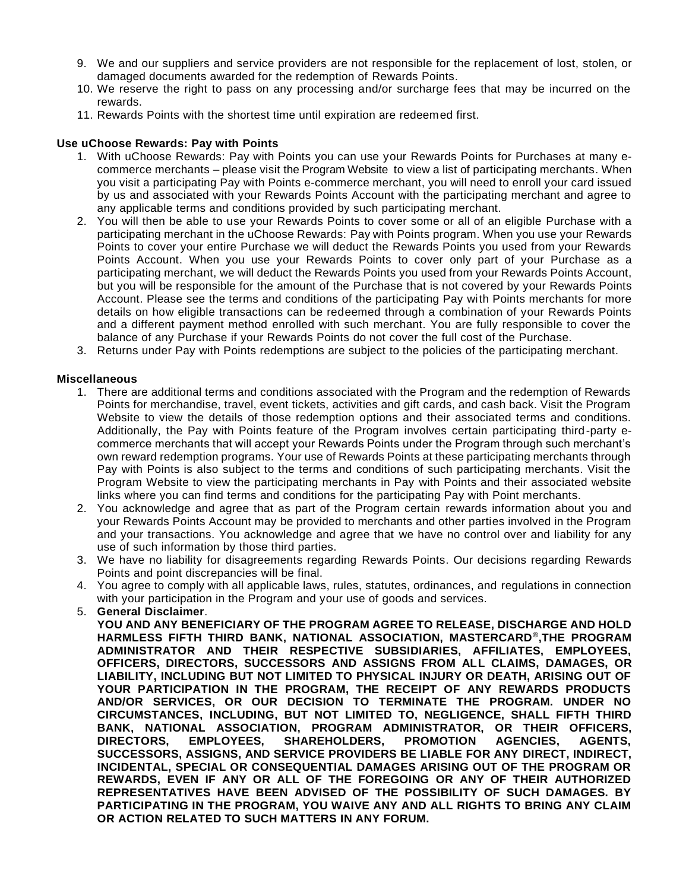- 9. We and our suppliers and service providers are not responsible for the replacement of lost, stolen, or damaged documents awarded for the redemption of Rewards Points.
- 10. We reserve the right to pass on any processing and/or surcharge fees that may be incurred on the rewards.
- 11. Rewards Points with the shortest time until expiration are redeemed first.

## **Use uChoose Rewards: Pay with Points**

- 1. With uChoose Rewards: Pay with Points you can use your Rewards Points for Purchases at many ecommerce merchants – please visit the Program Website to view a list of participating merchants. When you visit a participating Pay with Points e-commerce merchant, you will need to enroll your card issued by us and associated with your Rewards Points Account with the participating merchant and agree to any applicable terms and conditions provided by such participating merchant.
- 2. You will then be able to use your Rewards Points to cover some or all of an eligible Purchase with a participating merchant in the uChoose Rewards: Pay with Points program. When you use your Rewards Points to cover your entire Purchase we will deduct the Rewards Points you used from your Rewards Points Account. When you use your Rewards Points to cover only part of your Purchase as a participating merchant, we will deduct the Rewards Points you used from your Rewards Points Account, but you will be responsible for the amount of the Purchase that is not covered by your Rewards Points Account. Please see the terms and conditions of the participating Pay with Points merchants for more details on how eligible transactions can be redeemed through a combination of your Rewards Points and a different payment method enrolled with such merchant. You are fully responsible to cover the balance of any Purchase if your Rewards Points do not cover the full cost of the Purchase.
- 3. Returns under Pay with Points redemptions are subject to the policies of the participating merchant.

### **Miscellaneous**

- 1. There are additional terms and conditions associated with the Program and the redemption of Rewards Points for merchandise, travel, event tickets, activities and gift cards, and cash back. Visit the Program Website to view the details of those redemption options and their associated terms and conditions. Additionally, the Pay with Points feature of the Program involves certain participating third-party ecommerce merchants that will accept your Rewards Points under the Program through such merchant's own reward redemption programs. Your use of Rewards Points at these participating merchants through Pay with Points is also subject to the terms and conditions of such participating merchants. Visit the Program Website to view the participating merchants in Pay with Points and their associated website links where you can find terms and conditions for the participating Pay with Point merchants.
- 2. You acknowledge and agree that as part of the Program certain rewards information about you and your Rewards Points Account may be provided to merchants and other parties involved in the Program and your transactions. You acknowledge and agree that we have no control over and liability for any use of such information by those third parties.
- 3. We have no liability for disagreements regarding Rewards Points. Our decisions regarding Rewards Points and point discrepancies will be final.
- 4. You agree to comply with all applicable laws, rules, statutes, ordinances, and regulations in connection with your participation in the Program and your use of goods and services.
- 5. **General Disclaimer**.

**YOU AND ANY BENEFICIARY OF THE PROGRAM AGREE TO RELEASE, DISCHARGE AND HOLD HARMLESS FIFTH THIRD BANK, NATIONAL ASSOCIATION, MASTERCARD® ,THE PROGRAM ADMINISTRATOR AND THEIR RESPECTIVE SUBSIDIARIES, AFFILIATES, EMPLOYEES, OFFICERS, DIRECTORS, SUCCESSORS AND ASSIGNS FROM ALL CLAIMS, DAMAGES, OR LIABILITY, INCLUDING BUT NOT LIMITED TO PHYSICAL INJURY OR DEATH, ARISING OUT OF YOUR PARTICIPATION IN THE PROGRAM, THE RECEIPT OF ANY REWARDS PRODUCTS AND/OR SERVICES, OR OUR DECISION TO TERMINATE THE PROGRAM. UNDER NO CIRCUMSTANCES, INCLUDING, BUT NOT LIMITED TO, NEGLIGENCE, SHALL FIFTH THIRD BANK, NATIONAL ASSOCIATION, PROGRAM ADMINISTRATOR, OR THEIR OFFICERS, DIRECTORS, EMPLOYEES, SHAREHOLDERS, PROMOTION AGENCIES, AGENTS, SUCCESSORS, ASSIGNS, AND SERVICE PROVIDERS BE LIABLE FOR ANY DIRECT, INDIRECT, INCIDENTAL, SPECIAL OR CONSEQUENTIAL DAMAGES ARISING OUT OF THE PROGRAM OR REWARDS, EVEN IF ANY OR ALL OF THE FOREGOING OR ANY OF THEIR AUTHORIZED REPRESENTATIVES HAVE BEEN ADVISED OF THE POSSIBILITY OF SUCH DAMAGES. BY PARTICIPATING IN THE PROGRAM, YOU WAIVE ANY AND ALL RIGHTS TO BRING ANY CLAIM OR ACTION RELATED TO SUCH MATTERS IN ANY FORUM.**